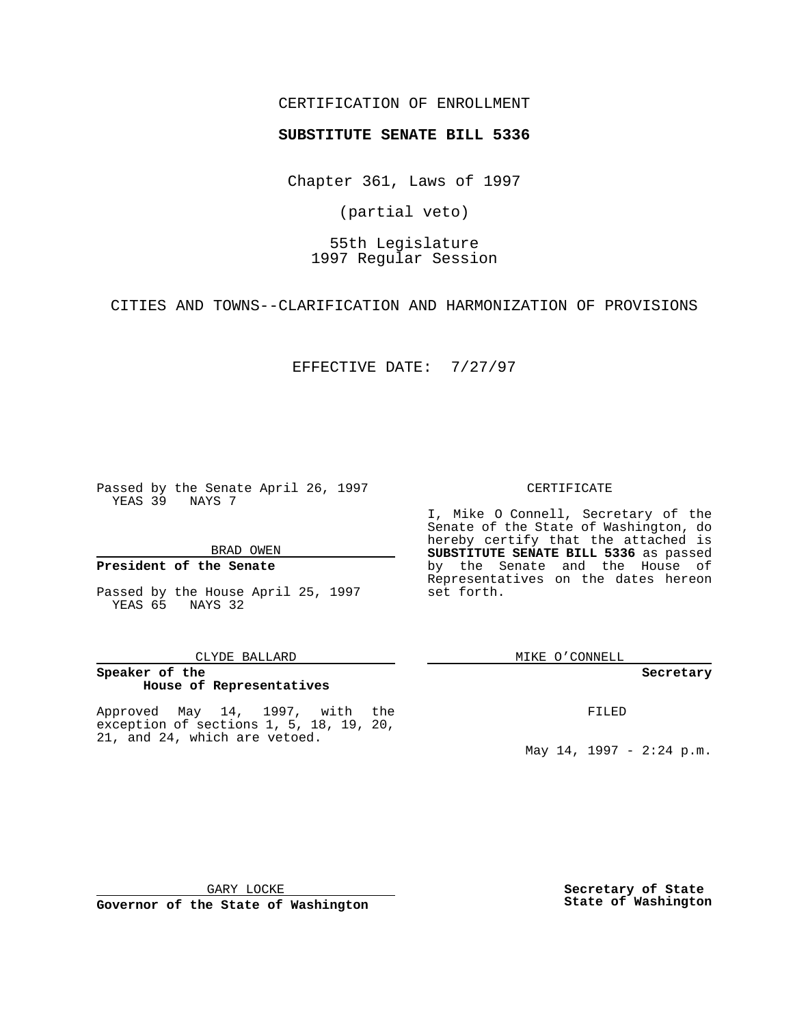### CERTIFICATION OF ENROLLMENT

# **SUBSTITUTE SENATE BILL 5336**

Chapter 361, Laws of 1997

(partial veto)

55th Legislature 1997 Regular Session

CITIES AND TOWNS--CLARIFICATION AND HARMONIZATION OF PROVISIONS

EFFECTIVE DATE: 7/27/97

Passed by the Senate April 26, 1997 YEAS 39 NAYS 7

BRAD OWEN

#### **President of the Senate**

Passed by the House April 25, 1997 YEAS 65 NAYS 32

#### CLYDE BALLARD

### **Speaker of the House of Representatives**

Approved May 14, 1997, with the exception of sections 1, 5, 18, 19, 20, 21, and 24, which are vetoed.

#### CERTIFICATE

I, Mike O Connell, Secretary of the Senate of the State of Washington, do hereby certify that the attached is **SUBSTITUTE SENATE BILL 5336** as passed by the Senate and the House of Representatives on the dates hereon set forth.

MIKE O'CONNELL

#### **Secretary**

FILED

May 14, 1997 - 2:24 p.m.

GARY LOCKE

**Governor of the State of Washington**

**Secretary of State State of Washington**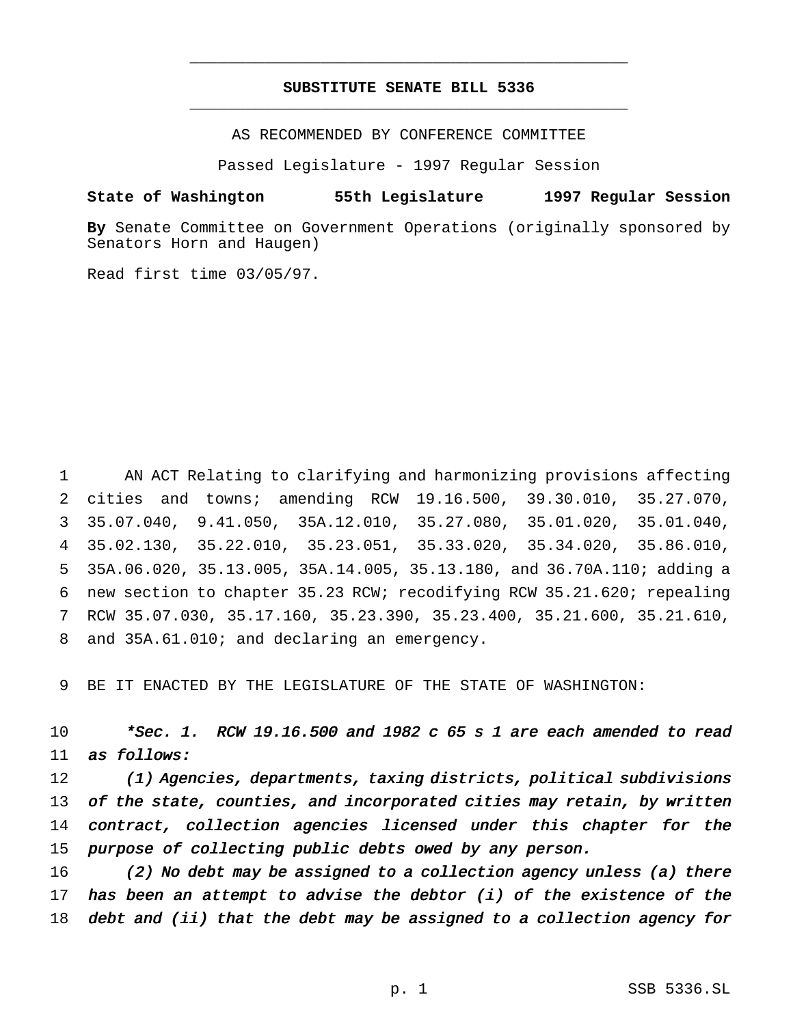## **SUBSTITUTE SENATE BILL 5336** \_\_\_\_\_\_\_\_\_\_\_\_\_\_\_\_\_\_\_\_\_\_\_\_\_\_\_\_\_\_\_\_\_\_\_\_\_\_\_\_\_\_\_\_\_\_\_

\_\_\_\_\_\_\_\_\_\_\_\_\_\_\_\_\_\_\_\_\_\_\_\_\_\_\_\_\_\_\_\_\_\_\_\_\_\_\_\_\_\_\_\_\_\_\_

AS RECOMMENDED BY CONFERENCE COMMITTEE

Passed Legislature - 1997 Regular Session

### **State of Washington 55th Legislature 1997 Regular Session**

**By** Senate Committee on Government Operations (originally sponsored by Senators Horn and Haugen)

Read first time 03/05/97.

 AN ACT Relating to clarifying and harmonizing provisions affecting cities and towns; amending RCW 19.16.500, 39.30.010, 35.27.070, 35.07.040, 9.41.050, 35A.12.010, 35.27.080, 35.01.020, 35.01.040, 35.02.130, 35.22.010, 35.23.051, 35.33.020, 35.34.020, 35.86.010, 35A.06.020, 35.13.005, 35A.14.005, 35.13.180, and 36.70A.110; adding a new section to chapter 35.23 RCW; recodifying RCW 35.21.620; repealing RCW 35.07.030, 35.17.160, 35.23.390, 35.23.400, 35.21.600, 35.21.610, and 35A.61.010; and declaring an emergency.

9 BE IT ENACTED BY THE LEGISLATURE OF THE STATE OF WASHINGTON:

10  $*Sec. 1. RCW 19.16.500$  and 1982 c 65 s 1 are each amended to read 11 as follows:

12 (1) Agencies, departments, taxing districts, political subdivisions 13 of the state, counties, and incorporated cities may retain, by written 14 contract, collection agencies licensed under this chapter for the 15 purpose of collecting public debts owed by any person.

16 (2) No debt may be assigned to <sup>a</sup> collection agency unless (a) there 17 has been an attempt to advise the debtor  $(i)$  of the existence of the 18 debt and (ii) that the debt may be assigned to <sup>a</sup> collection agency for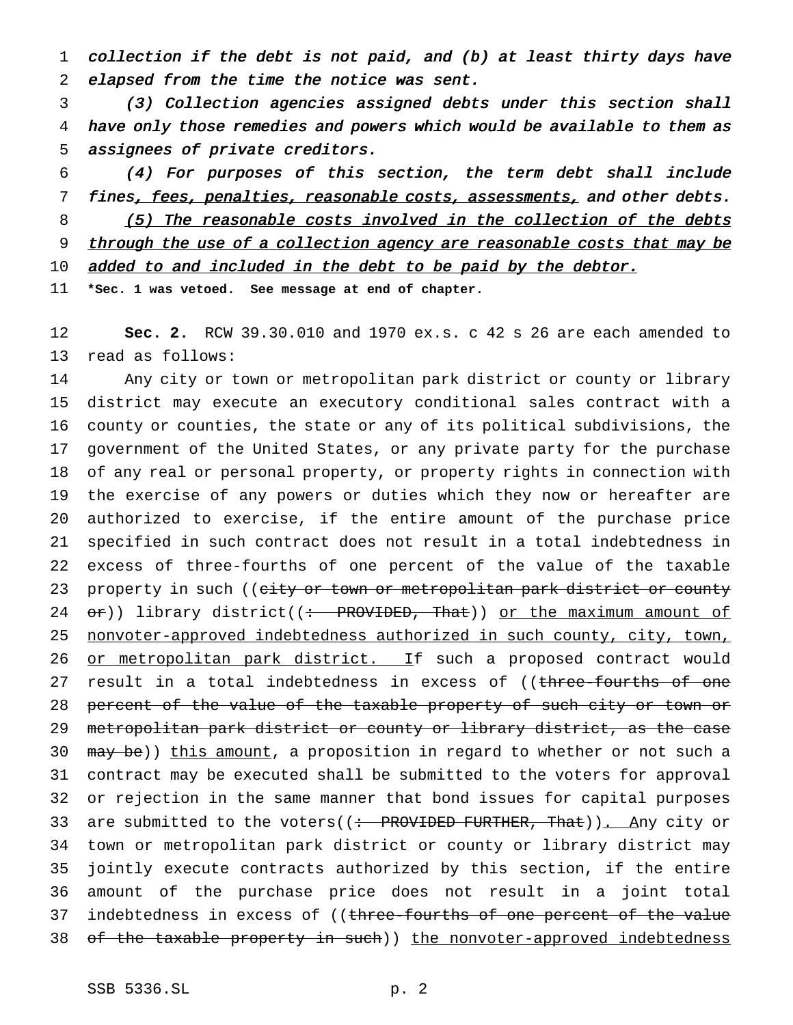collection if the debt is not paid, and (b) at least thirty days have elapsed from the time the notice was sent.

 (3) Collection agencies assigned debts under this section shall have only those remedies and powers which would be available to them as assignees of private creditors.

 (4) For purposes of this section, the term debt shall include 7 fines, fees, penalties, reasonable costs, assessments, and other debts. 8 (5) The reasonable costs involved in the collection of the debts 9 through the use of a collection agency are reasonable costs that may be

10 added to and included in the debt to be paid by the debtor.

**\*Sec. 1 was vetoed. See message at end of chapter.**

 **Sec. 2.** RCW 39.30.010 and 1970 ex.s. c 42 s 26 are each amended to read as follows:

 Any city or town or metropolitan park district or county or library district may execute an executory conditional sales contract with a county or counties, the state or any of its political subdivisions, the government of the United States, or any private party for the purchase of any real or personal property, or property rights in connection with the exercise of any powers or duties which they now or hereafter are authorized to exercise, if the entire amount of the purchase price specified in such contract does not result in a total indebtedness in excess of three-fourths of one percent of the value of the taxable 23 property in such ((city or town or metropolitan park district or county  $or)$ ) library district((: PROVIDED, That)) or the maximum amount of nonvoter-approved indebtedness authorized in such county, city, town, 26 or metropolitan park district. If such a proposed contract would 27 result in a total indebtedness in excess of ((three-fourths of one 28 percent of the value of the taxable property of such city or town or metropolitan park district or county or library district, as the case 30 may be)) this amount, a proposition in regard to whether or not such a contract may be executed shall be submitted to the voters for approval or rejection in the same manner that bond issues for capital purposes 33 are submitted to the voters((: PROVIDED FURTHER, That)). Any city or town or metropolitan park district or county or library district may jointly execute contracts authorized by this section, if the entire amount of the purchase price does not result in a joint total 37 indebtedness in excess of ((three-fourths of one percent of the value 38 of the taxable property in such)) the nonvoter-approved indebtedness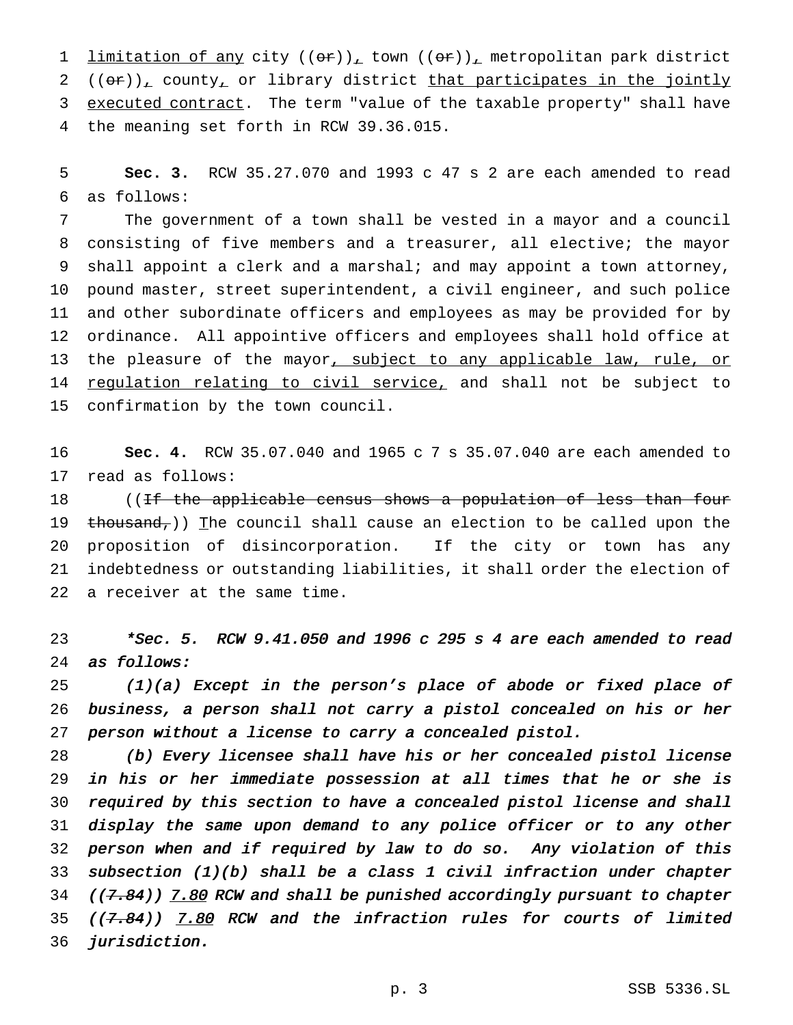1 limitation of any city  $((\theta \hat{r}))_T$  town  $((\theta \hat{r}))_T$  metropolitan park district (( $\theta$ r)), county, or library district that participates in the jointly 3 executed contract. The term "value of the taxable property" shall have the meaning set forth in RCW 39.36.015.

 **Sec. 3.** RCW 35.27.070 and 1993 c 47 s 2 are each amended to read as follows:

 The government of a town shall be vested in a mayor and a council consisting of five members and a treasurer, all elective; the mayor shall appoint a clerk and a marshal; and may appoint a town attorney, pound master, street superintendent, a civil engineer, and such police and other subordinate officers and employees as may be provided for by ordinance. All appointive officers and employees shall hold office at 13 the pleasure of the mayor, subject to any applicable law, rule, or 14 regulation relating to civil service, and shall not be subject to confirmation by the town council.

 **Sec. 4.** RCW 35.07.040 and 1965 c 7 s 35.07.040 are each amended to read as follows:

18 ((If the applicable census shows a population of less than four 19 thousand,)) The council shall cause an election to be called upon the proposition of disincorporation. If the city or town has any indebtedness or outstanding liabilities, it shall order the election of a receiver at the same time.

 \*Sec. 5. RCW 9.41.050 and <sup>1996</sup> <sup>c</sup> <sup>295</sup> <sup>s</sup> <sup>4</sup> are each amended to read as follows:

 (1)(a) Except in the person's place of abode or fixed place of business, <sup>a</sup> person shall not carry <sup>a</sup> pistol concealed on his or her person without <sup>a</sup> license to carry <sup>a</sup> concealed pistol.

 (b) Every licensee shall have his or her concealed pistol license in his or her immediate possession at all times that he or she is required by this section to have <sup>a</sup> concealed pistol license and shall display the same upon demand to any police officer or to any other person when and if required by law to do so. Any violation of this subsection (1)(b) shall be <sup>a</sup> class <sup>1</sup> civil infraction under chapter ((7.84)) 7.80 RCW and shall be punished accordingly pursuant to chapter 35 ( $(7.84)$ ) 7.80 RCW and the infraction rules for courts of limited jurisdiction.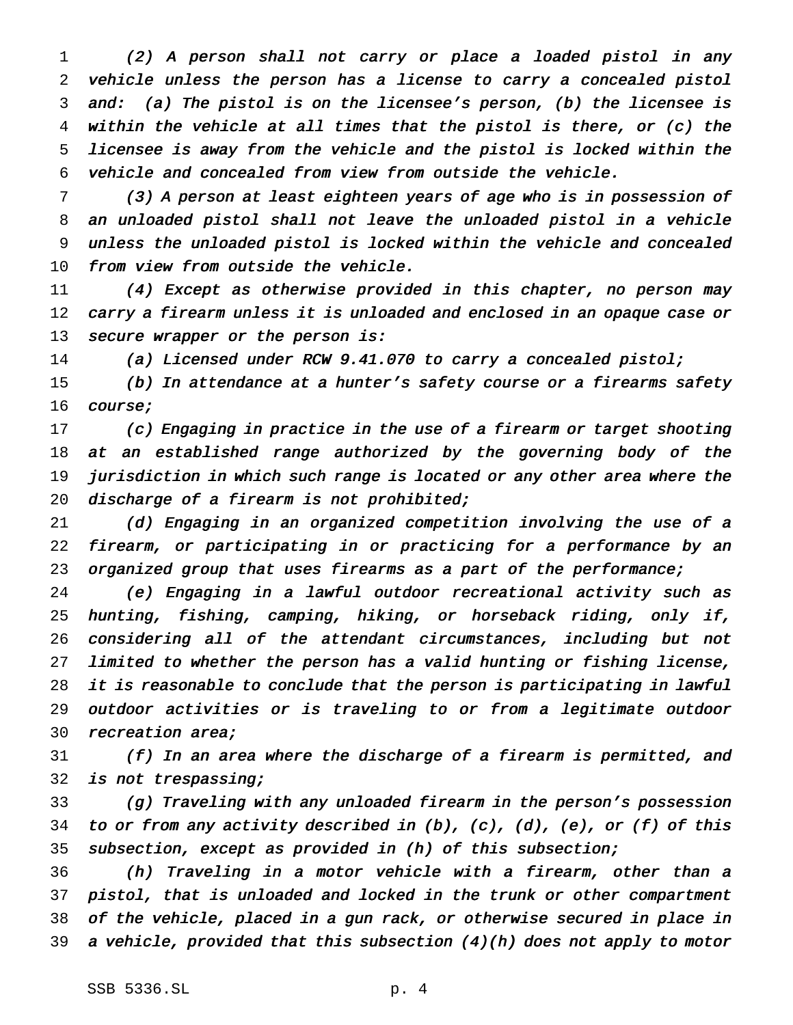(2) <sup>A</sup> person shall not carry or place <sup>a</sup> loaded pistol in any vehicle unless the person has <sup>a</sup> license to carry <sup>a</sup> concealed pistol and: (a) The pistol is on the licensee's person, (b) the licensee is within the vehicle at all times that the pistol is there, or (c) the licensee is away from the vehicle and the pistol is locked within the vehicle and concealed from view from outside the vehicle.

 (3) <sup>A</sup> person at least eighteen years of age who is in possession of an unloaded pistol shall not leave the unloaded pistol in <sup>a</sup> vehicle unless the unloaded pistol is locked within the vehicle and concealed from view from outside the vehicle.

 (4) Except as otherwise provided in this chapter, no person may carry <sup>a</sup> firearm unless it is unloaded and enclosed in an opaque case or 13 secure wrapper or the person is:

(a) Licensed under RCW 9.41.070 to carry <sup>a</sup> concealed pistol;

 (b) In attendance at <sup>a</sup> hunter's safety course or <sup>a</sup> firearms safety course;

 (c) Engaging in practice in the use of <sup>a</sup> firearm or target shooting 18 at an established range authorized by the governing body of the jurisdiction in which such range is located or any other area where the discharge of <sup>a</sup> firearm is not prohibited;

 (d) Engaging in an organized competition involving the use of <sup>a</sup> firearm, or participating in or practicing for <sup>a</sup> performance by an 23 organized group that uses firearms as a part of the performance;

 (e) Engaging in <sup>a</sup> lawful outdoor recreational activity such as hunting, fishing, camping, hiking, or horseback riding, only if, considering all of the attendant circumstances, including but not limited to whether the person has <sup>a</sup> valid hunting or fishing license, it is reasonable to conclude that the person is participating in lawful outdoor activities or is traveling to or from <sup>a</sup> legitimate outdoor 30 recreation area;

 (f) In an area where the discharge of <sup>a</sup> firearm is permitted, and is not trespassing;

 (g) Traveling with any unloaded firearm in the person's possession to or from any activity described in (b), (c), (d), (e), or (f) of this subsection, except as provided in (h) of this subsection;

 (h) Traveling in <sup>a</sup> motor vehicle with <sup>a</sup> firearm, other than <sup>a</sup> pistol, that is unloaded and locked in the trunk or other compartment of the vehicle, placed in <sup>a</sup> gun rack, or otherwise secured in place in <sup>a</sup> vehicle, provided that this subsection (4)(h) does not apply to motor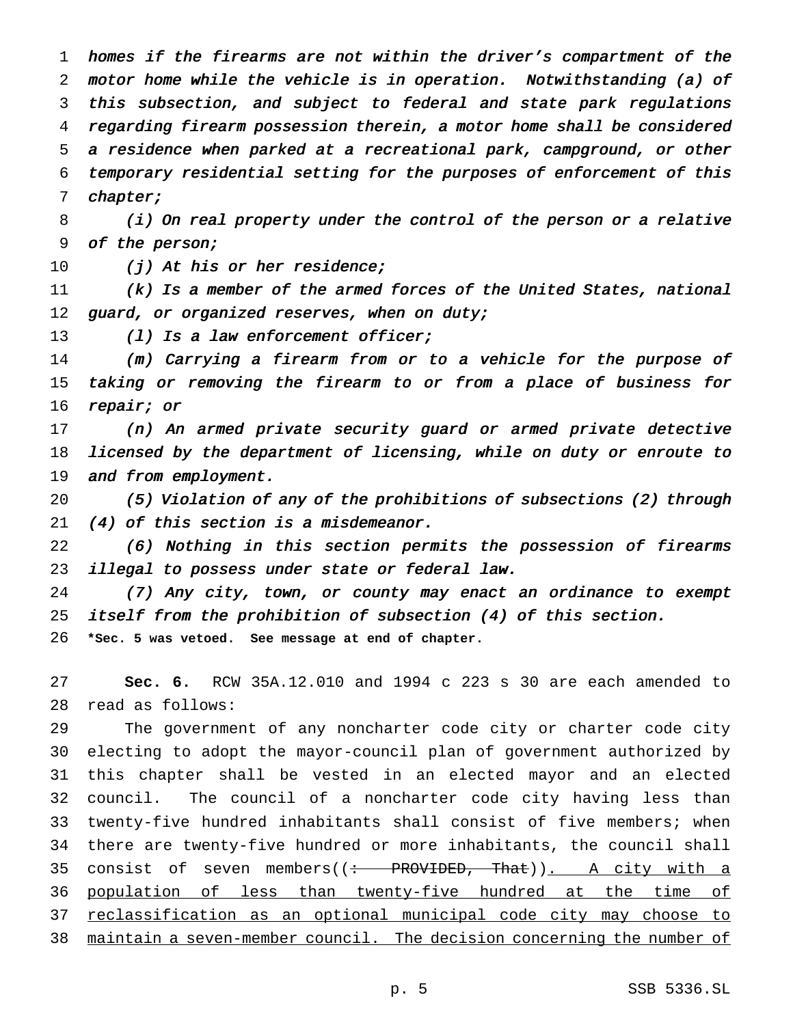homes if the firearms are not within the driver's compartment of the motor home while the vehicle is in operation. Notwithstanding (a) of this subsection, and subject to federal and state park regulations regarding firearm possession therein, <sup>a</sup> motor home shall be considered <sup>a</sup> residence when parked at <sup>a</sup> recreational park, campground, or other temporary residential setting for the purposes of enforcement of this chapter;

 (i) On real property under the control of the person or <sup>a</sup> relative of the person;

10 (j) At his or her residence;

 (k) Is <sup>a</sup> member of the armed forces of the United States, national 12 guard, or organized reserves, when on duty;

13 (1) Is a law enforcement officer;

 (m) Carrying <sup>a</sup> firearm from or to <sup>a</sup> vehicle for the purpose of taking or removing the firearm to or from <sup>a</sup> place of business for repair; or

 (n) An armed private security guard or armed private detective licensed by the department of licensing, while on duty or enroute to 19 and from employment.

 (5) Violation of any of the prohibitions of subsections (2) through (4) of this section is <sup>a</sup> misdemeanor.

 (6) Nothing in this section permits the possession of firearms 23 illegal to possess under state or federal law.

 (7) Any city, town, or county may enact an ordinance to exempt itself from the prohibition of subsection (4) of this section. **\*Sec. 5 was vetoed. See message at end of chapter.**

 **Sec. 6.** RCW 35A.12.010 and 1994 c 223 s 30 are each amended to read as follows:

 The government of any noncharter code city or charter code city electing to adopt the mayor-council plan of government authorized by this chapter shall be vested in an elected mayor and an elected council. The council of a noncharter code city having less than twenty-five hundred inhabitants shall consist of five members; when there are twenty-five hundred or more inhabitants, the council shall 35 consist of seven members( $($ : PROVIDED, That)). A city with a population of less than twenty-five hundred at the time of 37 reclassification as an optional municipal code city may choose to maintain a seven-member council. The decision concerning the number of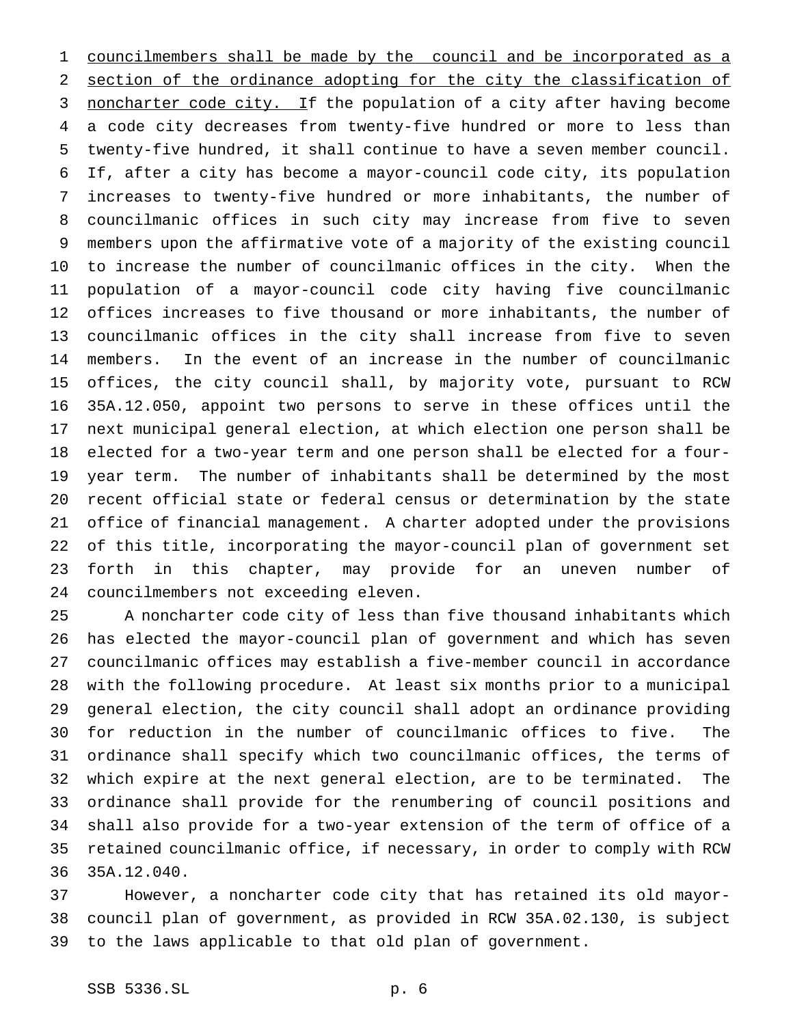councilmembers shall be made by the council and be incorporated as a section of the ordinance adopting for the city the classification of 3 noncharter code city. If the population of a city after having become a code city decreases from twenty-five hundred or more to less than twenty-five hundred, it shall continue to have a seven member council. If, after a city has become a mayor-council code city, its population increases to twenty-five hundred or more inhabitants, the number of councilmanic offices in such city may increase from five to seven members upon the affirmative vote of a majority of the existing council to increase the number of councilmanic offices in the city. When the population of a mayor-council code city having five councilmanic offices increases to five thousand or more inhabitants, the number of councilmanic offices in the city shall increase from five to seven members. In the event of an increase in the number of councilmanic offices, the city council shall, by majority vote, pursuant to RCW 35A.12.050, appoint two persons to serve in these offices until the next municipal general election, at which election one person shall be elected for a two-year term and one person shall be elected for a four- year term. The number of inhabitants shall be determined by the most recent official state or federal census or determination by the state office of financial management. A charter adopted under the provisions of this title, incorporating the mayor-council plan of government set forth in this chapter, may provide for an uneven number of councilmembers not exceeding eleven.

 A noncharter code city of less than five thousand inhabitants which has elected the mayor-council plan of government and which has seven councilmanic offices may establish a five-member council in accordance with the following procedure. At least six months prior to a municipal general election, the city council shall adopt an ordinance providing for reduction in the number of councilmanic offices to five. The ordinance shall specify which two councilmanic offices, the terms of which expire at the next general election, are to be terminated. The ordinance shall provide for the renumbering of council positions and shall also provide for a two-year extension of the term of office of a retained councilmanic office, if necessary, in order to comply with RCW 35A.12.040.

 However, a noncharter code city that has retained its old mayor- council plan of government, as provided in RCW 35A.02.130, is subject to the laws applicable to that old plan of government.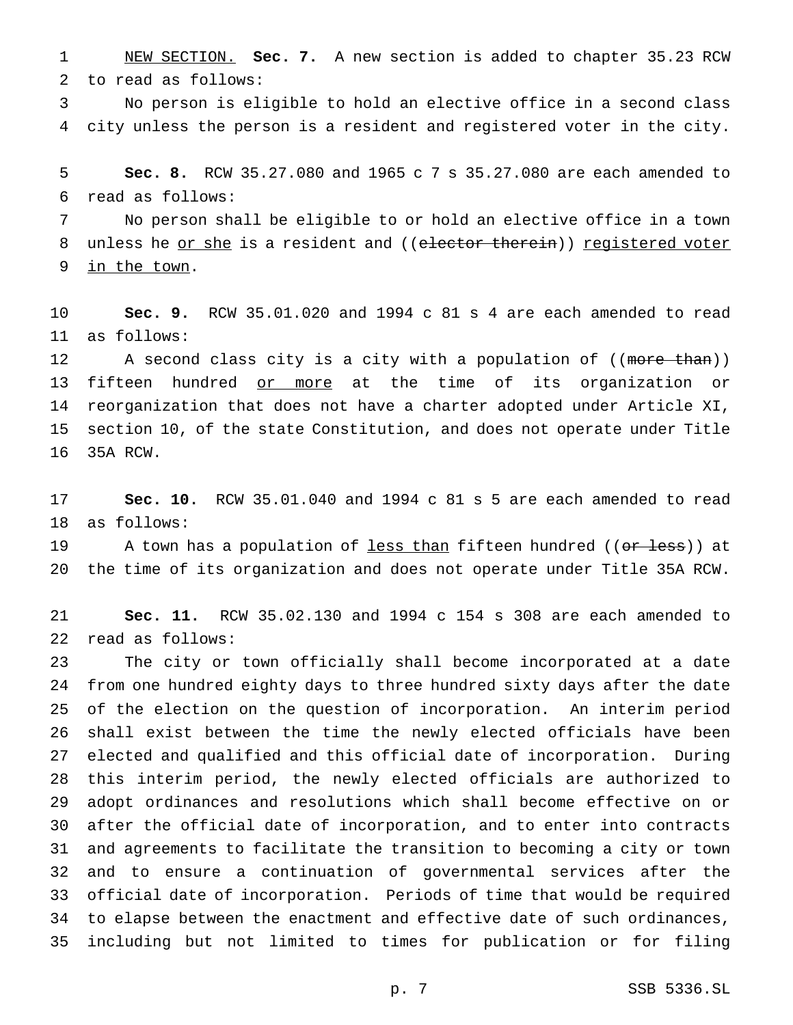NEW SECTION. **Sec. 7.** A new section is added to chapter 35.23 RCW to read as follows:

 No person is eligible to hold an elective office in a second class city unless the person is a resident and registered voter in the city.

 **Sec. 8.** RCW 35.27.080 and 1965 c 7 s 35.27.080 are each amended to read as follows:

 No person shall be eligible to or hold an elective office in a town 8 unless he or she is a resident and ((elector therein)) registered voter in the town.

 **Sec. 9.** RCW 35.01.020 and 1994 c 81 s 4 are each amended to read as follows:

12 A second class city is a city with a population of ((more than)) 13 fifteen hundred or more at the time of its organization or reorganization that does not have a charter adopted under Article XI, section 10, of the state Constitution, and does not operate under Title 35A RCW.

 **Sec. 10.** RCW 35.01.040 and 1994 c 81 s 5 are each amended to read as follows:

19 A town has a population of <u>less than</u> fifteen hundred ((<del>or less</del>)) at the time of its organization and does not operate under Title 35A RCW.

 **Sec. 11.** RCW 35.02.130 and 1994 c 154 s 308 are each amended to read as follows:

 The city or town officially shall become incorporated at a date from one hundred eighty days to three hundred sixty days after the date of the election on the question of incorporation. An interim period shall exist between the time the newly elected officials have been elected and qualified and this official date of incorporation. During this interim period, the newly elected officials are authorized to adopt ordinances and resolutions which shall become effective on or after the official date of incorporation, and to enter into contracts and agreements to facilitate the transition to becoming a city or town and to ensure a continuation of governmental services after the official date of incorporation. Periods of time that would be required to elapse between the enactment and effective date of such ordinances, including but not limited to times for publication or for filing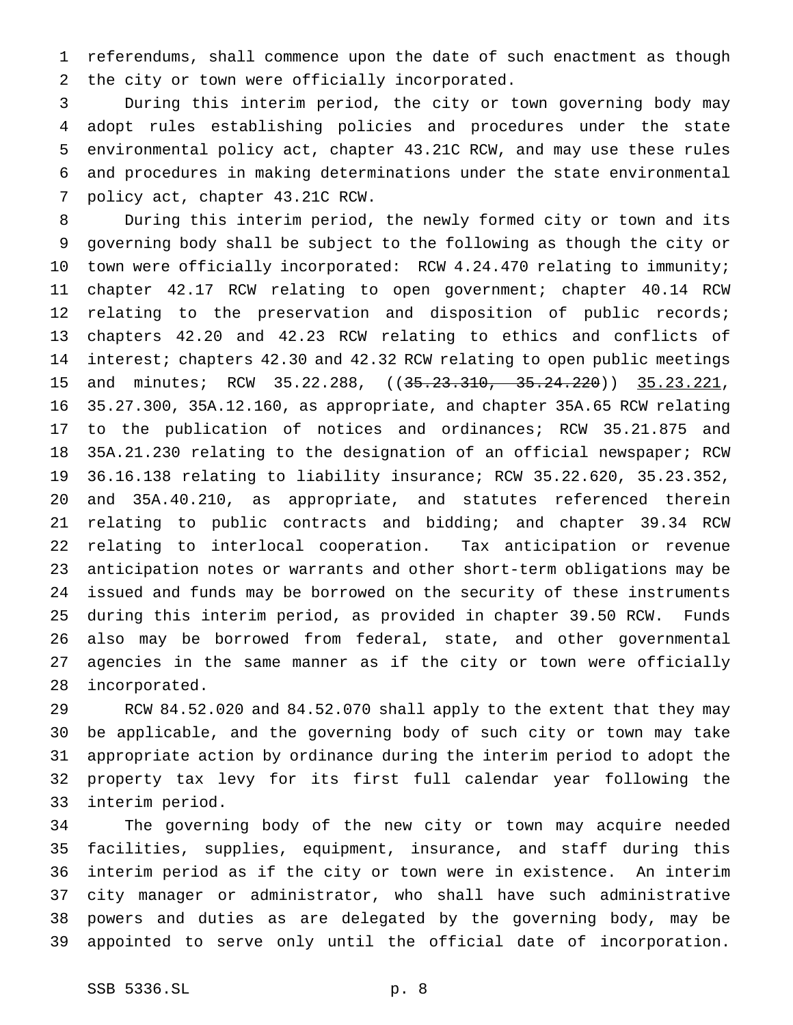referendums, shall commence upon the date of such enactment as though the city or town were officially incorporated.

 During this interim period, the city or town governing body may adopt rules establishing policies and procedures under the state environmental policy act, chapter 43.21C RCW, and may use these rules and procedures in making determinations under the state environmental policy act, chapter 43.21C RCW.

 During this interim period, the newly formed city or town and its governing body shall be subject to the following as though the city or 10 town were officially incorporated: RCW 4.24.470 relating to immunity; chapter 42.17 RCW relating to open government; chapter 40.14 RCW 12 relating to the preservation and disposition of public records; chapters 42.20 and 42.23 RCW relating to ethics and conflicts of interest; chapters 42.30 and 42.32 RCW relating to open public meetings 15 and minutes; RCW 35.22.288, ((35.23.310, 35.24.220)) 35.23.221, 35.27.300, 35A.12.160, as appropriate, and chapter 35A.65 RCW relating to the publication of notices and ordinances; RCW 35.21.875 and 35A.21.230 relating to the designation of an official newspaper; RCW 36.16.138 relating to liability insurance; RCW 35.22.620, 35.23.352, and 35A.40.210, as appropriate, and statutes referenced therein relating to public contracts and bidding; and chapter 39.34 RCW relating to interlocal cooperation. Tax anticipation or revenue anticipation notes or warrants and other short-term obligations may be issued and funds may be borrowed on the security of these instruments during this interim period, as provided in chapter 39.50 RCW. Funds also may be borrowed from federal, state, and other governmental agencies in the same manner as if the city or town were officially incorporated.

 RCW 84.52.020 and 84.52.070 shall apply to the extent that they may be applicable, and the governing body of such city or town may take appropriate action by ordinance during the interim period to adopt the property tax levy for its first full calendar year following the interim period.

 The governing body of the new city or town may acquire needed facilities, supplies, equipment, insurance, and staff during this interim period as if the city or town were in existence. An interim city manager or administrator, who shall have such administrative powers and duties as are delegated by the governing body, may be appointed to serve only until the official date of incorporation.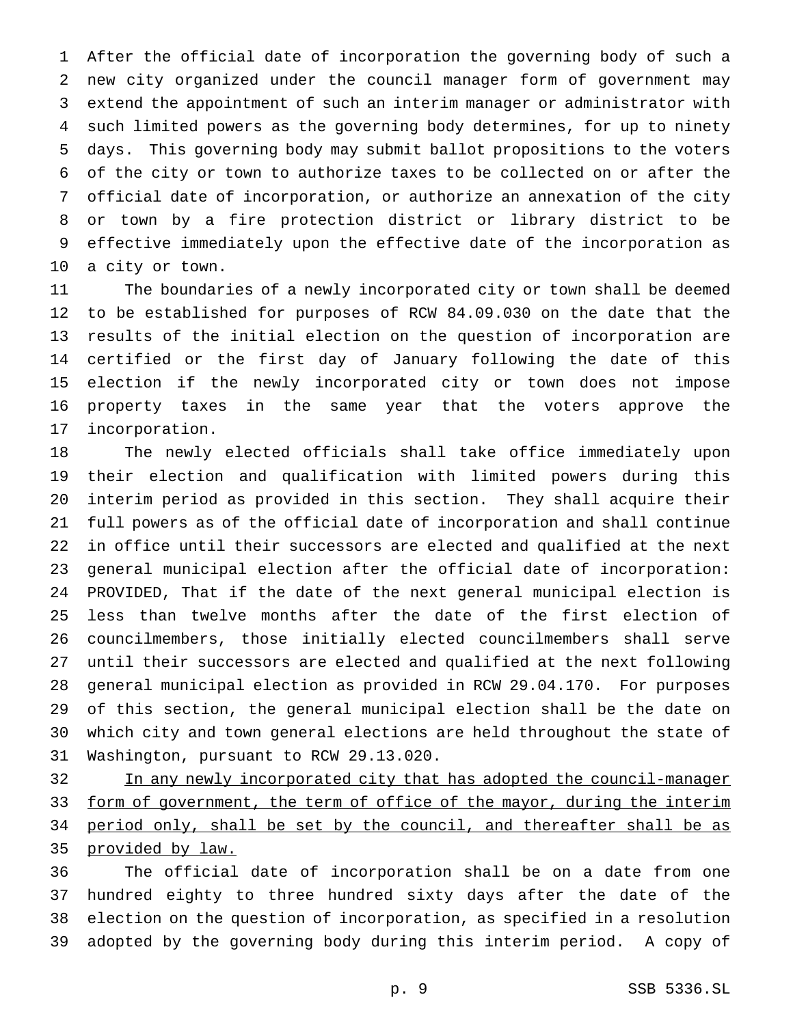After the official date of incorporation the governing body of such a new city organized under the council manager form of government may extend the appointment of such an interim manager or administrator with such limited powers as the governing body determines, for up to ninety days. This governing body may submit ballot propositions to the voters of the city or town to authorize taxes to be collected on or after the official date of incorporation, or authorize an annexation of the city or town by a fire protection district or library district to be effective immediately upon the effective date of the incorporation as a city or town.

 The boundaries of a newly incorporated city or town shall be deemed to be established for purposes of RCW 84.09.030 on the date that the results of the initial election on the question of incorporation are certified or the first day of January following the date of this election if the newly incorporated city or town does not impose property taxes in the same year that the voters approve the incorporation.

 The newly elected officials shall take office immediately upon their election and qualification with limited powers during this interim period as provided in this section. They shall acquire their full powers as of the official date of incorporation and shall continue in office until their successors are elected and qualified at the next general municipal election after the official date of incorporation: PROVIDED, That if the date of the next general municipal election is less than twelve months after the date of the first election of councilmembers, those initially elected councilmembers shall serve until their successors are elected and qualified at the next following general municipal election as provided in RCW 29.04.170. For purposes of this section, the general municipal election shall be the date on which city and town general elections are held throughout the state of Washington, pursuant to RCW 29.13.020.

32 In any newly incorporated city that has adopted the council-manager 33 form of government, the term of office of the mayor, during the interim 34 period only, shall be set by the council, and thereafter shall be as provided by law.

 The official date of incorporation shall be on a date from one hundred eighty to three hundred sixty days after the date of the election on the question of incorporation, as specified in a resolution adopted by the governing body during this interim period. A copy of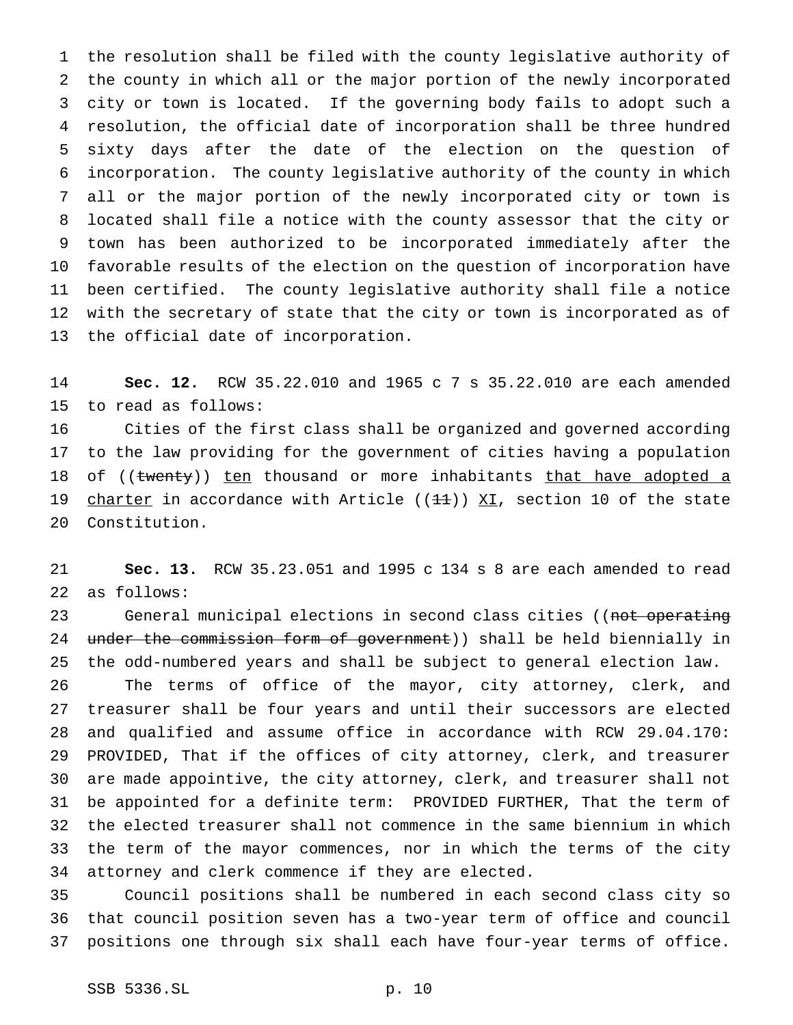the resolution shall be filed with the county legislative authority of the county in which all or the major portion of the newly incorporated city or town is located. If the governing body fails to adopt such a resolution, the official date of incorporation shall be three hundred sixty days after the date of the election on the question of incorporation. The county legislative authority of the county in which all or the major portion of the newly incorporated city or town is located shall file a notice with the county assessor that the city or town has been authorized to be incorporated immediately after the favorable results of the election on the question of incorporation have been certified. The county legislative authority shall file a notice with the secretary of state that the city or town is incorporated as of the official date of incorporation.

 **Sec. 12.** RCW 35.22.010 and 1965c7s 35.22.010 are each amended to read as follows:

 Cities of the first class shall be organized and governed according to the law providing for the government of cities having a population 18 of ((twenty)) ten thousand or more inhabitants that have adopted a 19 charter in accordance with Article ( $(11)$ ) XI, section 10 of the state Constitution.

 **Sec. 13.** RCW 35.23.051 and 1995 c 134 s 8 are each amended to read as follows:

23 General municipal elections in second class cities ((not operating 24 under the commission form of government)) shall be held biennially in the odd-numbered years and shall be subject to general election law.

 The terms of office of the mayor, city attorney, clerk, and treasurer shall be four years and until their successors are elected and qualified and assume office in accordance with RCW 29.04.170: PROVIDED, That if the offices of city attorney, clerk, and treasurer are made appointive, the city attorney, clerk, and treasurer shall not be appointed for a definite term: PROVIDED FURTHER, That the term of the elected treasurer shall not commence in the same biennium in which the term of the mayor commences, nor in which the terms of the city attorney and clerk commence if they are elected.

 Council positions shall be numbered in each second class city so that council position seven has a two-year term of office and council positions one through six shall each have four-year terms of office.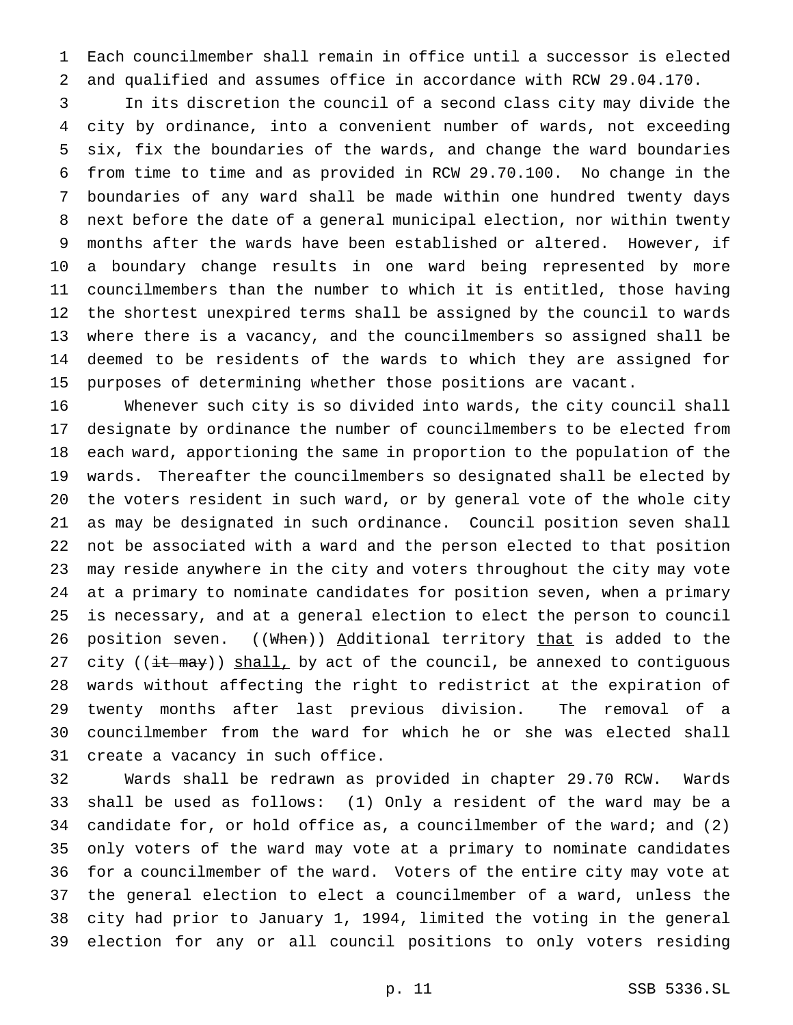Each councilmember shall remain in office until a successor is elected and qualified and assumes office in accordance with RCW 29.04.170.

 In its discretion the council of a second class city may divide the city by ordinance, into a convenient number of wards, not exceeding six, fix the boundaries of the wards, and change the ward boundaries from time to time and as provided in RCW 29.70.100. No change in the boundaries of any ward shall be made within one hundred twenty days next before the date of a general municipal election, nor within twenty months after the wards have been established or altered. However, if a boundary change results in one ward being represented by more councilmembers than the number to which it is entitled, those having the shortest unexpired terms shall be assigned by the council to wards where there is a vacancy, and the councilmembers so assigned shall be deemed to be residents of the wards to which they are assigned for purposes of determining whether those positions are vacant.

 Whenever such city is so divided into wards, the city council shall designate by ordinance the number of councilmembers to be elected from each ward, apportioning the same in proportion to the population of the wards. Thereafter the councilmembers so designated shall be elected by the voters resident in such ward, or by general vote of the whole city as may be designated in such ordinance. Council position seven shall not be associated with a ward and the person elected to that position may reside anywhere in the city and voters throughout the city may vote at a primary to nominate candidates for position seven, when a primary is necessary, and at a general election to elect the person to council 26 position seven. ((When)) Additional territory that is added to the 27 city ( $(i$ t may)) shall, by act of the council, be annexed to contiguous wards without affecting the right to redistrict at the expiration of twenty months after last previous division. The removal of a councilmember from the ward for which he or she was elected shall create a vacancy in such office.

 Wards shall be redrawn as provided in chapter 29.70 RCW. Wards shall be used as follows: (1) Only a resident of the ward may be a candidate for, or hold office as, a councilmember of the ward; and (2) only voters of the ward may vote at a primary to nominate candidates for a councilmember of the ward. Voters of the entire city may vote at the general election to elect a councilmember of a ward, unless the city had prior to January 1, 1994, limited the voting in the general election for any or all council positions to only voters residing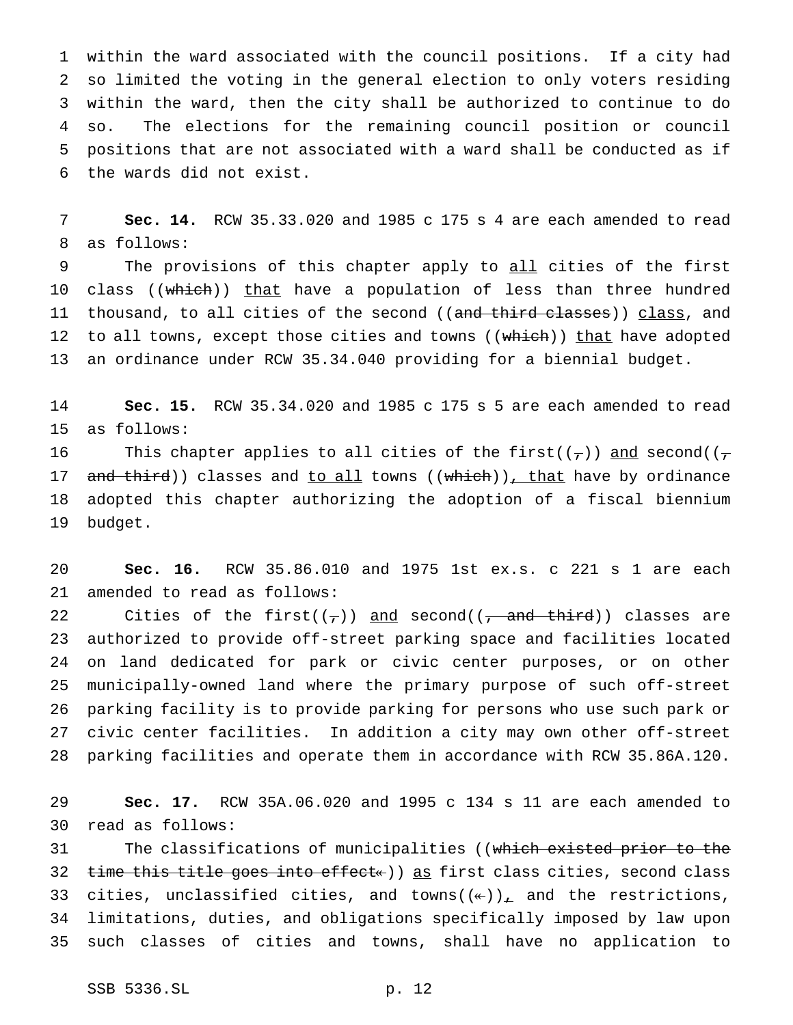within the ward associated with the council positions. If a city had so limited the voting in the general election to only voters residing within the ward, then the city shall be authorized to continue to do so. The elections for the remaining council position or council positions that are not associated with a ward shall be conducted as if the wards did not exist.

 **Sec. 14.** RCW 35.33.020 and 1985 c 175 s 4 are each amended to read as follows:

9 The provisions of this chapter apply to all cities of the first 10 class ((which)) that have a population of less than three hundred 11 thousand, to all cities of the second ((and third classes)) class, and 12 to all towns, except those cities and towns ((which)) that have adopted an ordinance under RCW 35.34.040 providing for a biennial budget.

 **Sec. 15.** RCW 35.34.020 and 1985 c 175 s 5 are each amended to read as follows:

16 This chapter applies to all cities of the first( $(\tau)$ ) and second( $(\tau)$ 17 and third)) classes and to all towns ((which)), that have by ordinance adopted this chapter authorizing the adoption of a fiscal biennium budget.

 **Sec. 16.** RCW 35.86.010 and 1975 1st ex.s. c 221 s 1 are each amended to read as follows:

22 Cities of the first $((\tau))$  and second $((\tau)$  and third) classes are authorized to provide off-street parking space and facilities located on land dedicated for park or civic center purposes, or on other municipally-owned land where the primary purpose of such off-street parking facility is to provide parking for persons who use such park or civic center facilities. In addition a city may own other off-street parking facilities and operate them in accordance with RCW 35.86A.120.

 **Sec. 17.** RCW 35A.06.020 and 1995 c 134 s 11 are each amended to read as follows:

31 The classifications of municipalities ((which existed prior to the 32 time this title goes into effect«)) as first class cities, second class 33 cities, unclassified cities, and towns( $(\ast)$ ), and the restrictions, limitations, duties, and obligations specifically imposed by law upon such classes of cities and towns, shall have no application to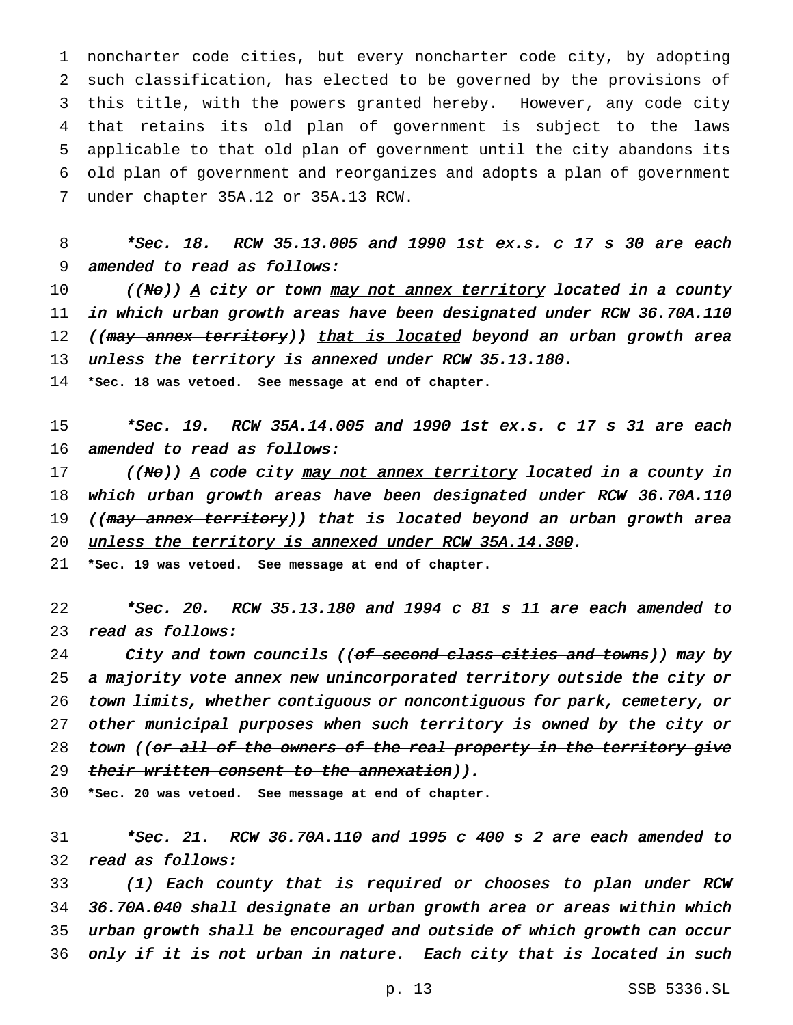noncharter code cities, but every noncharter code city, by adopting such classification, has elected to be governed by the provisions of this title, with the powers granted hereby. However, any code city that retains its old plan of government is subject to the laws applicable to that old plan of government until the city abandons its old plan of government and reorganizes and adopts a plan of government under chapter 35A.12 or 35A.13 RCW.

 \*Sec. 18. RCW 35.13.005 and <sup>1990</sup> 1st ex.s. <sup>c</sup> <sup>17</sup> <sup>s</sup> <sup>30</sup> are each amended to read as follows:

10 ((No)) A city or town may not annex territory located in a county in which urban growth areas have been designated under RCW 36.70A.110 12 ((may annex territory)) that is located beyond an urban growth area 13 unless the territory is annexed under RCW 35.13.180.

**\*Sec. 18 was vetoed. See message at end of chapter.**

 \*Sec. 19. RCW 35A.14.005 and <sup>1990</sup> 1st ex.s. <sup>c</sup> <sup>17</sup> <sup>s</sup> <sup>31</sup> are each 16 amended to read as follows:

17 ((No)) A code city may not annex territory located in a county in which urban growth areas have been designated under RCW 36.70A.110 19 ((may annex territory)) that is located beyond an urban growth area 20 unless the territory is annexed under RCW 35A.14.300.

**\*Sec. 19 was vetoed. See message at end of chapter.**

 \*Sec. 20. RCW 35.13.180 and <sup>1994</sup> <sup>c</sup> <sup>81</sup> <sup>s</sup> <sup>11</sup> are each amended to read as follows:

24 City and town councils ((of second class cities and towns)) may by <sup>a</sup> majority vote annex new unincorporated territory outside the city or town limits, whether contiguous or noncontiguous for park, cemetery, or other municipal purposes when such territory is owned by the city or 28 town ((or all of the owners of the real property in the territory give 29 their written consent to the annexation)).

**\*Sec. 20 was vetoed. See message at end of chapter.**

 \*Sec. 21. RCW 36.70A.110 and <sup>1995</sup> <sup>c</sup> <sup>400</sup> <sup>s</sup> <sup>2</sup> are each amended to read as follows:

 (1) Each county that is required or chooses to plan under RCW 36.70A.040 shall designate an urban growth area or areas within which urban growth shall be encouraged and outside of which growth can occur only if it is not urban in nature. Each city that is located in such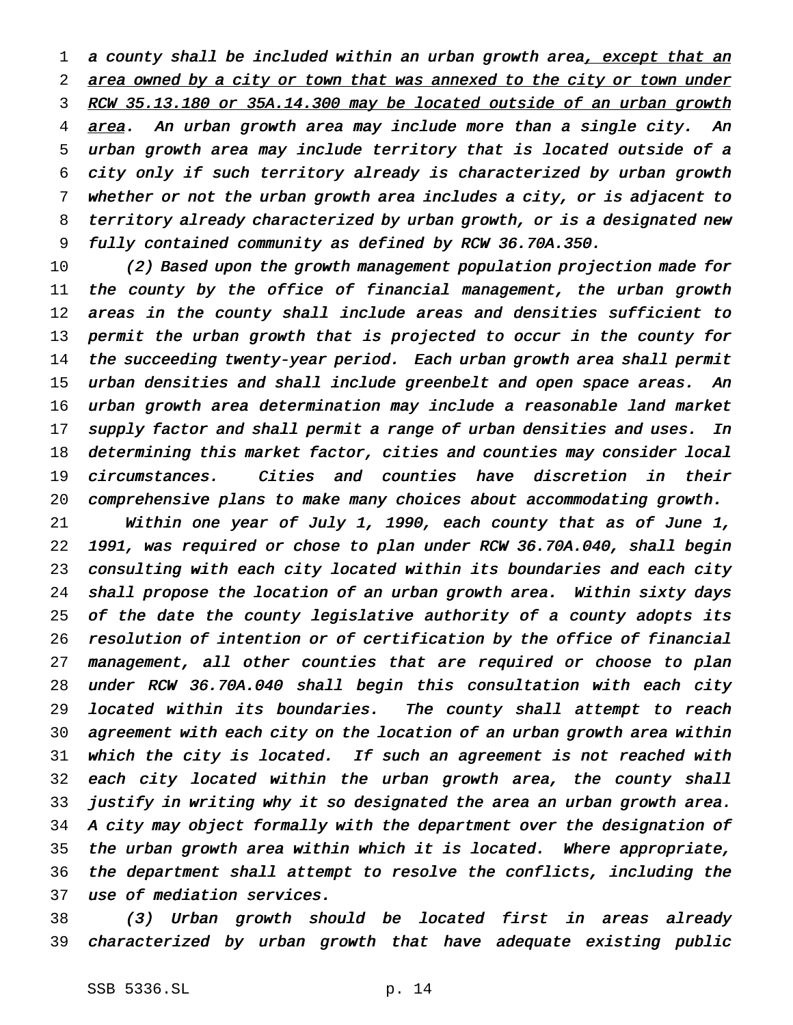1 a county shall be included within an urban growth area, except that an 2 area owned by a city or town that was annexed to the city or town under 3 RCW 35.13.180 or 35A.14.300 may be located outside of an urban growth 4 area. An urban growth area may include more than a single city. An urban growth area may include territory that is located outside of <sup>a</sup> city only if such territory already is characterized by urban growth whether or not the urban growth area includes <sup>a</sup> city, or is adjacent to territory already characterized by urban growth, or is <sup>a</sup> designated new fully contained community as defined by RCW 36.70A.350.

 (2) Based upon the growth management population projection made for 11 the county by the office of financial management, the urban growth areas in the county shall include areas and densities sufficient to permit the urban growth that is projected to occur in the county for the succeeding twenty-year period. Each urban growth area shall permit 15 urban densities and shall include greenbelt and open space areas. An urban growth area determination may include <sup>a</sup> reasonable land market 17 supply factor and shall permit a range of urban densities and uses. In determining this market factor, cities and counties may consider local circumstances. Cities and counties have discretion in their comprehensive plans to make many choices about accommodating growth.

 Within one year of July 1, 1990, each county that as of June 1, 1991, was required or chose to plan under RCW 36.70A.040, shall begin consulting with each city located within its boundaries and each city shall propose the location of an urban growth area. Within sixty days of the date the county legislative authority of <sup>a</sup> county adopts its resolution of intention or of certification by the office of financial management, all other counties that are required or choose to plan under RCW 36.70A.040 shall begin this consultation with each city located within its boundaries. The county shall attempt to reach agreement with each city on the location of an urban growth area within which the city is located. If such an agreement is not reached with 32 each city located within the urban growth area, the county shall justify in writing why it so designated the area an urban growth area. <sup>A</sup> city may object formally with the department over the designation of the urban growth area within which it is located. Where appropriate, the department shall attempt to resolve the conflicts, including the use of mediation services.

 (3) Urban growth should be located first in areas already characterized by urban growth that have adequate existing public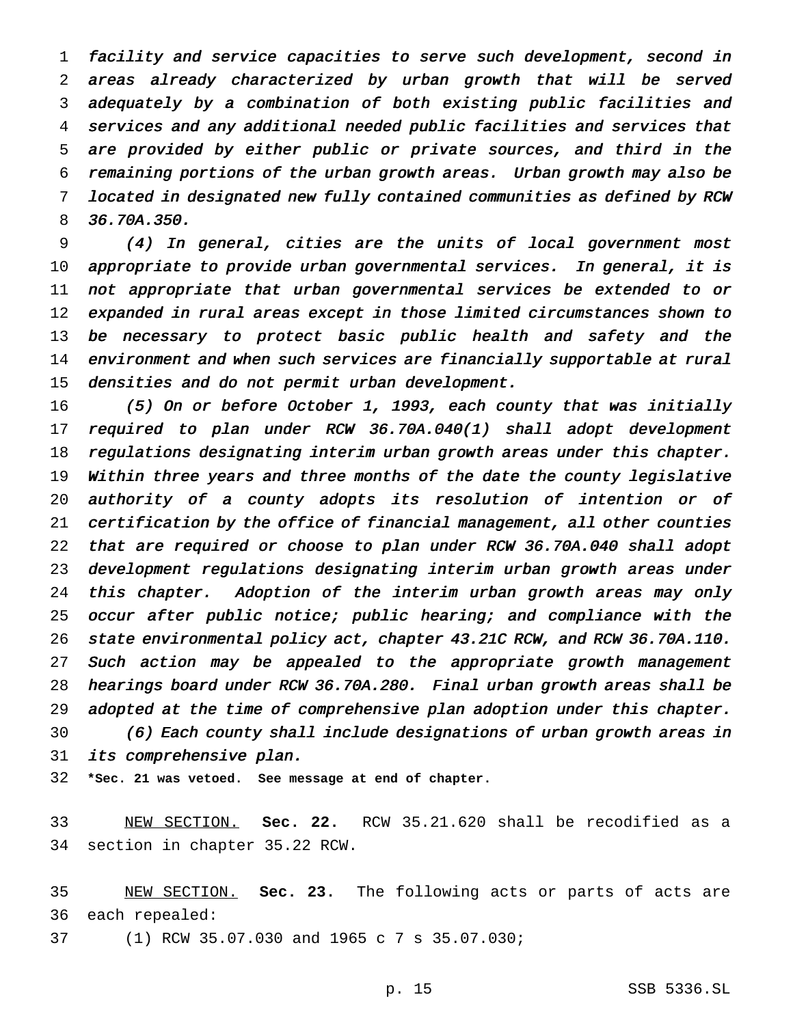facility and service capacities to serve such development, second in areas already characterized by urban growth that will be served adequately by <sup>a</sup> combination of both existing public facilities and services and any additional needed public facilities and services that are provided by either public or private sources, and third in the remaining portions of the urban growth areas. Urban growth may also be located in designated new fully contained communities as defined by RCW 36.70A.350.

 (4) In general, cities are the units of local government most appropriate to provide urban governmental services. In general, it is not appropriate that urban governmental services be extended to or expanded in rural areas except in those limited circumstances shown to 13 be necessary to protect basic public health and safety and the 14 environment and when such services are financially supportable at rural densities and do not permit urban development.

 (5) On or before October 1, 1993, each county that was initially required to plan under RCW 36.70A.040(1) shall adopt development regulations designating interim urban growth areas under this chapter. Within three years and three months of the date the county legislative authority of <sup>a</sup> county adopts its resolution of intention or of certification by the office of financial management, all other counties that are required or choose to plan under RCW 36.70A.040 shall adopt development regulations designating interim urban growth areas under 24 this chapter. Adoption of the interim urban growth areas may only occur after public notice; public hearing; and compliance with the state environmental policy act, chapter 43.21C RCW, and RCW 36.70A.110. Such action may be appealed to the appropriate growth management hearings board under RCW 36.70A.280. Final urban growth areas shall be adopted at the time of comprehensive plan adoption under this chapter. (6) Each county shall include designations of urban growth areas in its comprehensive plan.

**\*Sec. 21 was vetoed. See message at end of chapter.**

 NEW SECTION. **Sec. 22.** RCW 35.21.620 shall be recodified as a section in chapter 35.22 RCW.

 NEW SECTION. **Sec. 23.** The following acts or parts of acts are each repealed:

(1) RCW 35.07.030 and 1965c7s 35.07.030;

p. 15 SSB 5336.SL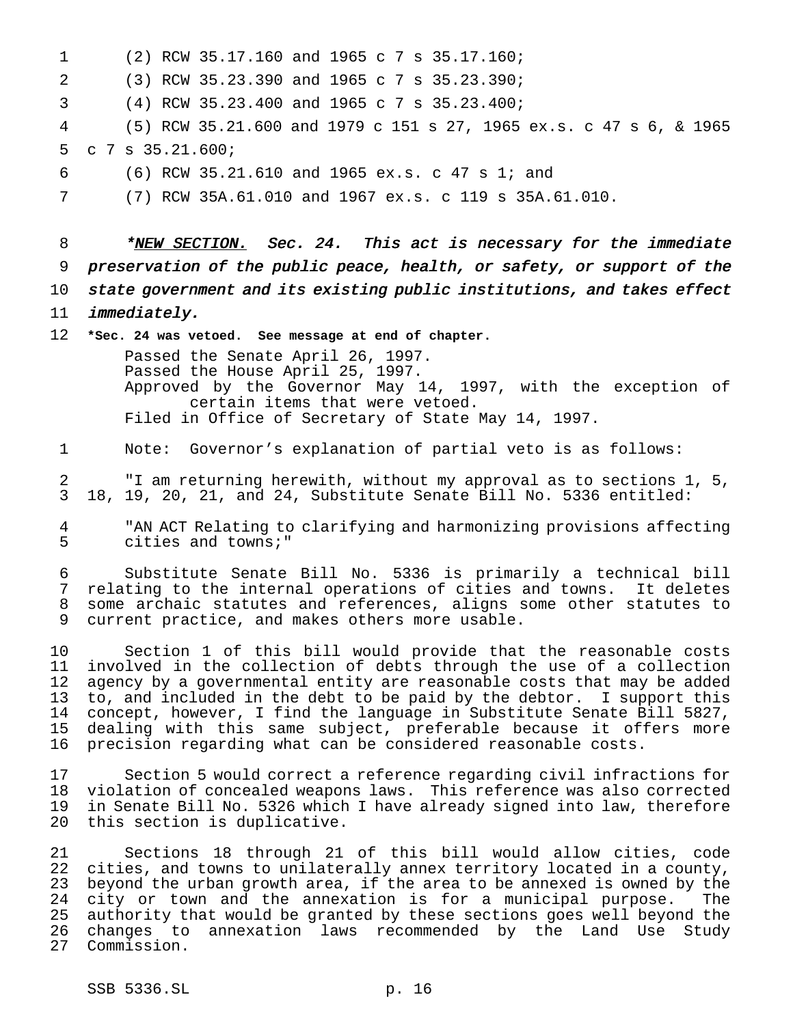| $\mathbf 1$ | (2) RCW 35.17.160 and 1965 c 7 s 35.17.160;                                                                                                       |
|-------------|---------------------------------------------------------------------------------------------------------------------------------------------------|
| 2           | (3) RCW 35.23.390 and 1965 c 7 s 35.23.390;                                                                                                       |
| 3           | (4) RCW 35.23.400 and 1965 c 7 s 35.23.400;                                                                                                       |
| 4           | (5) RCW 35.21.600 and 1979 c 151 s 27, 1965 ex.s. c 47 s 6, & 1965                                                                                |
| 5           | $C$ 7 s 35.21.600;                                                                                                                                |
| 6           | (6) RCW 35.21.610 and 1965 ex.s. c 47 s 1; and                                                                                                    |
| 7           | (7) RCW 35A.61.010 and 1967 ex.s. c 119 s 35A.61.010.                                                                                             |
|             |                                                                                                                                                   |
| 8           | *NEW SECTION. Sec. 24. This act is necessary for the immediate                                                                                    |
| 9           | preservation of the public peace, health, or safety, or support of the                                                                            |
| 10          | state government and its existing public institutions, and takes effect                                                                           |
| 11          | <i>immediately.</i>                                                                                                                               |
| 12          | *Sec. 24 was vetoed. See message at end of chapter.                                                                                               |
|             | Passed the Senate April 26, 1997.<br>Passed the House April 25, 1997.                                                                             |
|             | Approved by the Governor May 14, 1997, with the exception of                                                                                      |
|             | certain items that were vetoed.<br>Filed in Office of Secretary of State May 14, 1997.                                                            |
|             |                                                                                                                                                   |
| 1           | Note: Governor's explanation of partial veto is as follows:                                                                                       |
| 2<br>3      | "I am returning herewith, without my approval as to sections 1, 5,<br>18, 19, 20, 21, and 24, Substitute Senate Bill No. 5336 entitled:           |
|             |                                                                                                                                                   |
| 4<br>5      | "AN ACT Relating to clarifying and harmonizing provisions affecting<br>cities and towns;"                                                         |
| 6           | Substitute Senate Bill No. 5336 is primarily a technical bill                                                                                     |
| 7<br>8      | relating to the internal operations of cities and towns. It deletes<br>some archaic statutes and references, aligns some other statutes to        |
| 9           | current practice, and makes others more usable.                                                                                                   |
| 10          | Section 1 of this bill would provide that the reasonable costs                                                                                    |
| 11          | involved in the collection of debts through the use of a collection                                                                               |
| 12<br>13    | agency by a governmental entity are reasonable costs that may be added<br>to, and included in the debt to be paid by the debtor. I support this   |
| 14          | concept, however, I find the language in Substitute Senate Bill 5827,                                                                             |
| 15<br>16    | dealing with this same subject, preferable because it offers more<br>precision regarding what can be considered reasonable costs.                 |
|             |                                                                                                                                                   |
| 17<br>18    | Section 5 would correct a reference regarding civil infractions for<br>violation of concealed weapons laws. This reference was also corrected     |
| 19          | in Senate Bill No. 5326 which I have already signed into law, therefore                                                                           |
| 20          | this section is duplicative.                                                                                                                      |
| 21          | Sections 18 through 21 of this bill would allow cities, code                                                                                      |
| 22<br>23    | cities, and towns to unilaterally annex territory located in a county,<br>beyond the urban growth area, if the area to be annexed is owned by the |
| 24          | city or town and the annexation is for a municipal purpose.<br>The                                                                                |
| 25<br>26    | authority that would be granted by these sections goes well beyond the<br>changes to annexation laws recommended by the Land Use Study            |
|             |                                                                                                                                                   |

Commission.